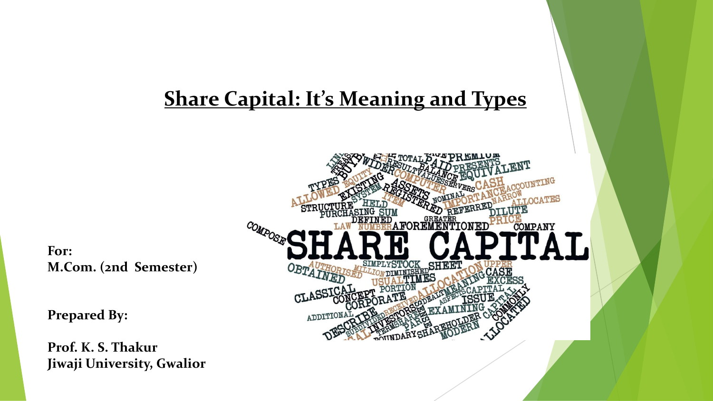# **Share Capital: It's Meaning and Types**

**For: M.Com. (2nd Semester)**

**Prepared By:**

**Prof. K. S. Thakur Jiwaji University, Gwalior**

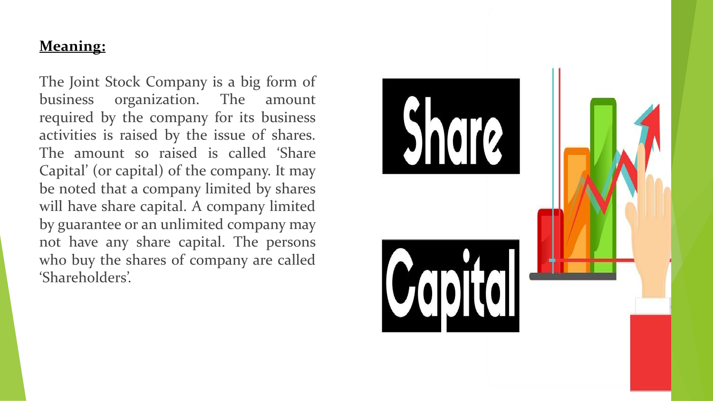#### **Meaning:**

The Joint Stock Company is a big form of business organization. The amount required by the company for its business activities is raised by the issue of shares. The amount so raised is called 'Share Capital' (or capital) of the company. It may be noted that a company limited by shares will have share capital. A company limited by guarantee or an unlimited company may not have any share capital. The persons who buy the shares of company are called 'Shareholders'.

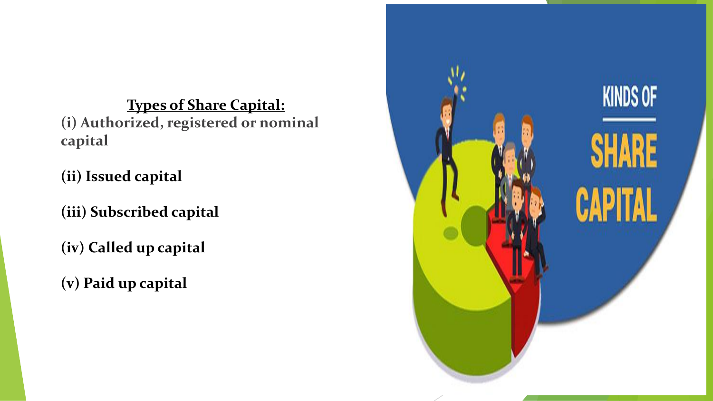**Types of Share Capital: (i) Authorized, registered or nominal capital**

**(ii) Issued capital**

**(iii) Subscribed capital**

**(iv) Called up capital**

**(v) Paid up capital**

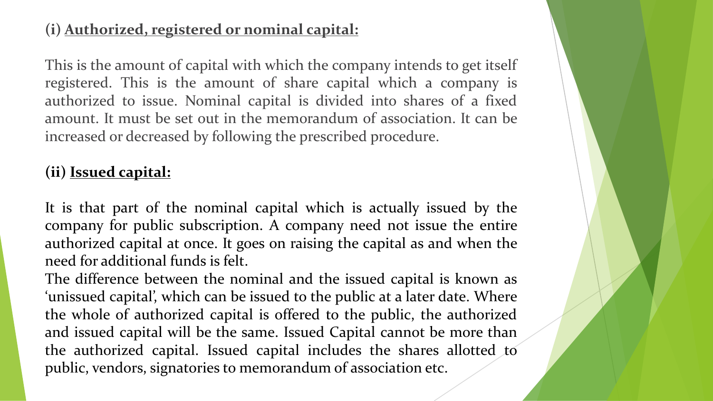# **(i) Authorized, registered or nominal capital:**

This is the amount of capital with which the company intends to get itself registered. This is the amount of share capital which a company is authorized to issue. Nominal capital is divided into shares of a fixed amount. It must be set out in the memorandum of association. It can be increased or decreased by following the prescribed procedure.

#### **(ii) Issued capital:**

It is that part of the nominal capital which is actually issued by the company for public subscription. A company need not issue the entire authorized capital at once. It goes on raising the capital as and when the need for additional funds is felt.

The difference between the nominal and the issued capital is known as 'unissued capital', which can be issued to the public at a later date. Where the whole of authorized capital is offered to the public, the authorized and issued capital will be the same. Issued Capital cannot be more than the authorized capital. Issued capital includes the shares allotted to public, vendors, signatories to memorandum of association etc.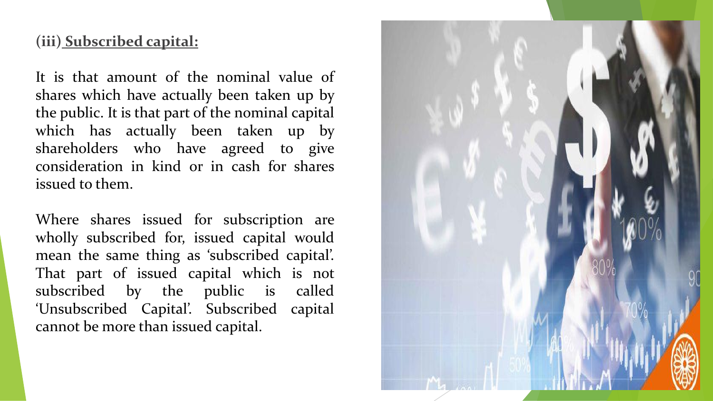#### **(iii) Subscribed capital:**

It is that amount of the nominal value of shares which have actually been taken up by the public. It is that part of the nominal capital which has actually been taken up by shareholders who have agreed to give consideration in kind or in cash for shares issued to them.

Where shares issued for subscription are wholly subscribed for, issued capital would mean the same thing as 'subscribed capital'. That part of issued capital which is not subscribed by the public is called 'Unsubscribed Capital'. Subscribed capital cannot be more than issued capital.

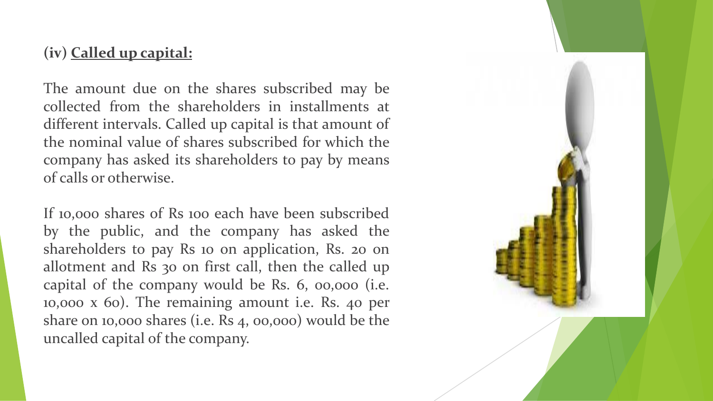#### **(iv) Called up capital:**

The amount due on the shares subscribed may be collected from the shareholders in installments at different intervals. Called up capital is that amount of the nominal value of shares subscribed for which the company has asked its shareholders to pay by means of calls or otherwise.

If 10,000 shares of Rs 100 each have been subscribed by the public, and the company has asked the shareholders to pay Rs 10 on application, Rs. 20 on allotment and Rs 30 on first call, then the called up capital of the company would be Rs. 6, 00,000 (i.e. 10,000 x 60). The remaining amount i.e. Rs. 40 per share on 10,000 shares (i.e. Rs 4, 00,000) would be the uncalled capital of the company.

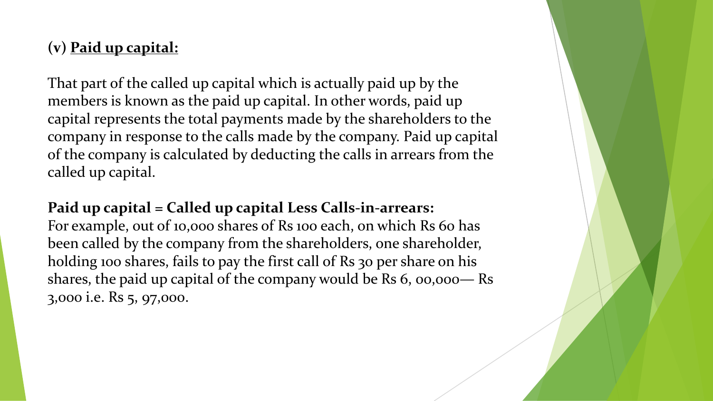# **(v) Paid up capital:**

That part of the called up capital which is actually paid up by the members is known as the paid up capital. In other words, paid up capital represents the total payments made by the shareholders to the company in response to the calls made by the company. Paid up capital of the company is calculated by deducting the calls in arrears from the called up capital.

### **Paid up capital = Called up capital Less Calls-in-arrears:**

For example, out of 10,000 shares of Rs 100 each, on which Rs 60 has been called by the company from the shareholders, one shareholder, holding 100 shares, fails to pay the first call of Rs 30 per share on his shares, the paid up capital of the company would be Rs 6, 00,000— Rs 3,000 i.e. Rs 5, 97,000.